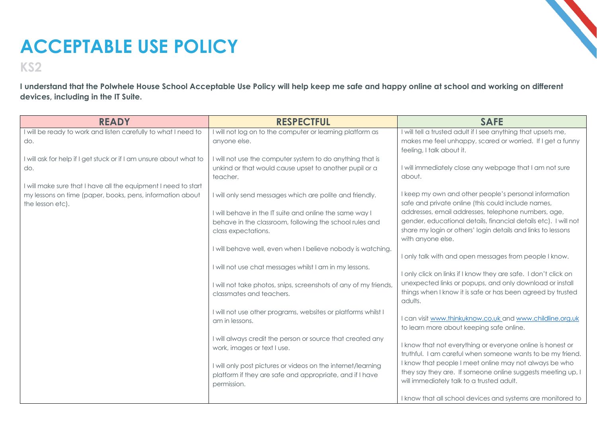## **ACCEPTABLE USE POLICY**

**KS2**

**I understand that the Polwhele House School Acceptable Use Policy will help keep me safe and happy online at school and working on different devices, including in the IT Suite.**

| <b>READY</b>                                                              | <b>RESPECTFUL</b>                                                                                                   | <b>SAFE</b>                                                                                                              |
|---------------------------------------------------------------------------|---------------------------------------------------------------------------------------------------------------------|--------------------------------------------------------------------------------------------------------------------------|
| I will be ready to work and listen carefully to what I need to            | I will not log on to the computer or learning platform as                                                           | I will tell a trusted adult if I see anything that upsets me,                                                            |
| do.                                                                       | anyone else.                                                                                                        | makes me feel unhappy, scared or worried. If I get a funny                                                               |
|                                                                           |                                                                                                                     | feeling, I talk about it.                                                                                                |
| I will ask for help if I get stuck or if I am unsure about what to<br>do. | I will not use the computer system to do anything that is<br>unkind or that would cause upset to another pupil or a | I will immediately close any webpage that I am not sure                                                                  |
|                                                                           | teacher.                                                                                                            | about.                                                                                                                   |
| I will make sure that I have all the equipment I need to start            |                                                                                                                     |                                                                                                                          |
| my lessons on time (paper, books, pens, information about                 | I will only send messages which are polite and friendly.                                                            | I keep my own and other people's personal information                                                                    |
| the lesson etc).                                                          |                                                                                                                     | safe and private online (this could include names,                                                                       |
|                                                                           | I will behave in the IT suite and online the same way I                                                             | addresses, email addresses, telephone numbers, age,                                                                      |
|                                                                           | behave in the classroom, following the school rules and                                                             | gender, educational details, financial details etc). I will not                                                          |
|                                                                           | class expectations.                                                                                                 | share my login or others' login details and links to lessons<br>with anyone else.                                        |
|                                                                           | I will behave well, even when I believe nobody is watching.                                                         |                                                                                                                          |
|                                                                           |                                                                                                                     | I only talk with and open messages from people I know.                                                                   |
|                                                                           | I will not use chat messages whilst I am in my lessons.                                                             |                                                                                                                          |
|                                                                           |                                                                                                                     | I only click on links if I know they are safe. I don't click on                                                          |
|                                                                           | I will not take photos, snips, screenshots of any of my friends,                                                    | unexpected links or popups, and only download or install                                                                 |
|                                                                           | classmates and teachers.                                                                                            | things when I know it is safe or has been agreed by trusted<br>adults.                                                   |
|                                                                           | I will not use other programs, websites or platforms whilst I                                                       |                                                                                                                          |
|                                                                           | am in lessons.                                                                                                      | I can visit www.thinkuknow.co.uk and www.childline.org.uk                                                                |
|                                                                           |                                                                                                                     | to learn more about keeping safe online.                                                                                 |
|                                                                           | I will always credit the person or source that created any                                                          |                                                                                                                          |
|                                                                           | work, images or text I use.                                                                                         | I know that not everything or everyone online is honest or<br>truthful. I am careful when someone wants to be my friend. |
|                                                                           |                                                                                                                     | I know that people I meet online may not always be who                                                                   |
|                                                                           | I will only post pictures or videos on the internet/learning                                                        | they say they are. If someone online suggests meeting up, I                                                              |
|                                                                           | platform if they are safe and appropriate, and if I have<br>permission.                                             | will immediately talk to a trusted adult.                                                                                |
|                                                                           |                                                                                                                     |                                                                                                                          |
|                                                                           |                                                                                                                     | I know that all school devices and systems are monitored to                                                              |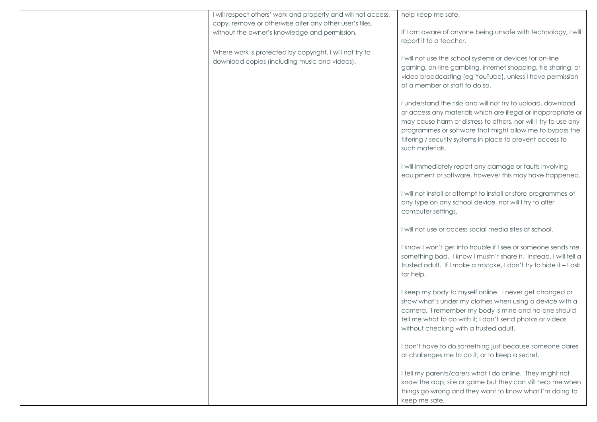| I will respect others' work and property and will not access, | help keep me safe.                                                 |
|---------------------------------------------------------------|--------------------------------------------------------------------|
| copy, remove or otherwise alter any other user's files,       |                                                                    |
|                                                               |                                                                    |
| without the owner's knowledge and permission.                 | If I am aware of anyone being unsafe with technology, I will       |
|                                                               | report it to a teacher.                                            |
| Where work is protected by copyright, I will not try to       |                                                                    |
| download copies (including music and videos).                 | I will not use the school systems or devices for on-line           |
|                                                               | gaming, on-line gambling, internet shopping, file sharing, or      |
|                                                               | video broadcasting (eg YouTube), unless I have permission          |
|                                                               | of a member of staff to do so.                                     |
|                                                               |                                                                    |
|                                                               | I understand the risks and will not try to upload, download        |
|                                                               | or access any materials which are illegal or inappropriate or      |
|                                                               | may cause harm or distress to others, nor will I try to use any    |
|                                                               |                                                                    |
|                                                               | programmes or software that might allow me to bypass the           |
|                                                               | filtering / security systems in place to prevent access to         |
|                                                               | such materials.                                                    |
|                                                               |                                                                    |
|                                                               | I will immediately report any damage or faults involving           |
|                                                               | equipment or software, however this may have happened.             |
|                                                               |                                                                    |
|                                                               | I will not install or attempt to install or store programmes of    |
|                                                               | any type on any school device, nor will I try to alter             |
|                                                               | computer settings.                                                 |
|                                                               |                                                                    |
|                                                               | I will not use or access social media sites at school.             |
|                                                               |                                                                    |
|                                                               | I know I won't get into trouble if I see or someone sends me       |
|                                                               | something bad. I know I mustn't share it. Instead, I will tell a   |
|                                                               |                                                                    |
|                                                               | trusted adult. If I make a mistake, I don't try to hide it - I ask |
|                                                               | for help.                                                          |
|                                                               |                                                                    |
|                                                               | I keep my body to myself online. I never get changed or            |
|                                                               | show what's under my clothes when using a device with a            |
|                                                               | camera. I remember my body is mine and no-one should               |
|                                                               | tell me what to do with it; I don't send photos or videos          |
|                                                               | without checking with a trusted adult.                             |
|                                                               |                                                                    |
|                                                               | I don't have to do something just because someone dares            |
|                                                               | or challenges me to do it, or to keep a secret.                    |
|                                                               |                                                                    |
|                                                               | I tell my parents/carers what I do online. They might not          |
|                                                               | know the app, site or game but they can still help me when         |
|                                                               | things go wrong and they want to know what I'm doing to            |
|                                                               |                                                                    |
|                                                               | keep me safe.                                                      |